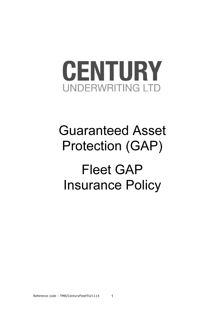

# Guaranteed Asset Protection (GAP)

Fleet GAP Insurance Policy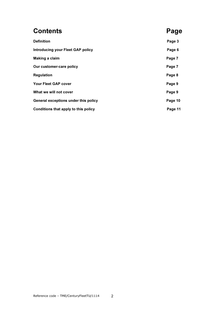# **Contents** Page

# Definition Page 3 Introducing your Fleet GAP policy **Page 6** Page 6 Making a claim **Page 7** Our customer-care policy example of the control of the Page 7 Regulation **Page 8** Your Fleet GAP cover **Page 9** What we will not cover **Page 9** General exceptions under this policy example of the Page 10 Conditions that apply to this policy **Page 11** and the Page 11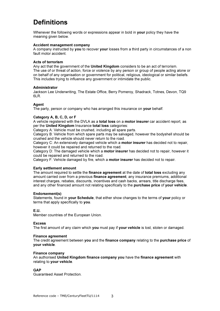# **Definitions**

Whenever the following words or expressions appear in bold in your policy they have the meaning given below.

#### Accident management company

A company instructed by you to recover your losses from a third party in circumstances of a non fault motor accident.

#### Acts of terrorism

Any act that the government of the United Kingdom considers to be an act of terrorism. The use of or threat of action, force or violence by any person or group of people acting alone or on behalf of any organisation or government for political, religious, ideological or similar beliefs. This includes trying to influence any government or intimidate the public.

#### Administrator

Jackson Lee Underwriting, The Estate Office, Berry Pomeroy, Shadrack, Totnes, Devon, TQ9 6LR.

#### Agent

The party, person or company who has arranged this insurance on **your** behalf.

#### Category A, B, C, D, or F

A vehicle registered with the DVLA as a **total loss** on a **motor insurer** car accident report, as per the United Kingdom Insurance total loss categories:

Category A: Vehicle must be crushed, including all spare parts.

Category B: Vehicle from which spare parts may be salvaged, however the bodyshell should be crushed and the vehicle should never return to the road.

Category C: An extensively damaged vehicle which a motor insurer has decided not to repair, however it could be repaired and returned to the road.

Category D: The damaged vehicle which a **motor insurer** has decided not to repair, however it could be repaired and returned to the road.

Category F: Vehicle damaged by fire, which a motor insurer has decided not to repair.

#### Early settlement amount

The amount required to settle the finance agreement at the date of total loss excluding any amount carried over from a previous finance agreement, any insurance premiums, additional interest charges, rebates, discounts, incentives and cash backs, arrears, title discharge fees, and any other financed amount not relating specifically to the purchase price of your vehicle.

#### Endorsement(s)

Statements, found in **your Schedule**, that either show changes to the terms of **your** policy or terms that apply specifically to you.

#### E.U.

Member countries of the European Union.

#### **Excess**

The first amount of any claim which you must pay if your vehicle is lost, stolen or damaged.

#### Finance agreement

The credit agreement between you and the finance company relating to the purchase price of your vehicle.

#### Finance company

An authorised United Kingdom finance company you have the finance agreement with relating to your vehicle.

#### GAP

Guaranteed Asset Protection.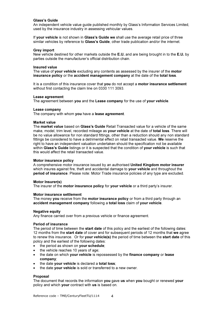#### Glass's Guide

An independent vehicle value guide published monthly by Glass's Information Services Limited, used by the insurance industry in assessing vehicular values.

If your vehicle is not shown in Glass's Guide we shall use the average retail price of three similar vehicles by reference to Glass's Guide, other trade publication and/or the internet.

#### Grey import

New vehicle destined for other markets outside the E.U. and are being brought in to the E.U. by parties outside the manufacturer's official distribution chain.

#### Insured value

The value of your vehicle excluding any contents as assessed by the insurer of the motor insurance policy or the accident management company at the date of the total loss.

It is a condition of this insurance cover that you do not accept a motor insurance settlement without first contacting the claim line on 0330 111 3093.

#### Lease agreement

The agreement between you and the Lease company for the use of your vehicle.

#### Lease company

The company with whom you have a lease agreement.

#### Market value

The market value based on Glass's Guide Retail Transacted value for a vehicle of the same make, model, trim level, recorded mileage as your vehicle at the date of total loss. There will be no value allowance for non standard fittings, other than a reduction should any non standard fittings be considered to have a detrimental effect on retail transacted value. We reserve the right to have an independent valuation undertaken should the specification not be available within Glass's Guide listings or it is suspected that the condition of your vehicle is such that this would affect the retail transacted value.

#### Motor insurance policy

A comprehensive motor insurance issued by an authorised United Kingdom motor insurer which insures against fire, theft and accidental damage to your vehicle and throughout the period of insurance. Please note: Motor Trade insurance policies of any type are excluded.

#### Motor Insurer(s)

The insurer of the motor insurance policy for your vehicle or a third party's insurer.

#### Motor insurance settlement

The money you receive from the motor insurance policy or from a third party through an accident management company following a total loss claim of your vehicle.

#### Negative equity

Any finance carried over from a previous vehicle or finance agreement.

#### Period of insurance

The period of time between the **start date** of this policy and the earliest of the following dates: 12 months from the start date of cover and for subsequent periods of 12 months that we agree to renew this insurance. Or for your vehicle(s) the period of time between the start date of this policy and the earliest of the following dates:

- the period as shown on your schedule;
- the vehicle reaches 10 years of age;
- the date on which your vehicle is repossessed by the finance company or lease company;
- the date your vehicle is declared a total loss;
- the date your vehicle is sold or transferred to a new owner.

#### Proposal

The document that records the information you gave us when you bought or renewed your policy and which your contract with us is based on.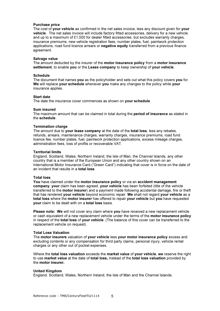#### Purchase price

The cost of your vehicle as confirmed in the net sales invoice, less any discount given for your vehicle. The net sales invoice will include factory fitted accessories, delivery for a new vehicle and up to a maximum of £1,500 for dealer fitted accessories, but excludes warranty charges, insurance premiums, new vehicle registration fees, number plates, fuel, paintwork protection applications, road fund licence arrears or negative equity transferred from a previous finance agreement.

#### Salvage value

The amount deducted by the insurer of the **motor insurance policy** from a **motor insurance** settlement, to enable you or the Lease company to keep ownership of your vehicle.

#### Schedule

The document that names you as the policyholder and sets out what this policy covers you for. We will replace your schedule whenever you make any changes to the policy while your insurance applies.

#### Start date

The date the insurance cover commences as shown on your schedule.

#### Sum insured

The maximum amount that can be claimed in total during the **period of insurance** as stated in the schedule.

#### Termination charge

The amount due to your lease company at the date of the total loss, less any rebates, refunds, arrears, maintenance charges, warranty charges, insurance premiums, road fund licence fee, number plates, fuel, paintwork protection applications, excess mileage charges, administration fees, loss of profits or recoverable VAT.

#### Territorial limits

England, Scotland, Wales, Northern Ireland, the Isle of Man, the Channel Islands, any other country that is a member of the European Union and any other country shown on an International Motor Insurance Card ("Green Card") indicating that cover is in force on the date of an incident that results in a total loss.

#### Total loss

You have claimed under the motor insurance policy or via an accident management company, your claim has been agreed, your vehicle has been forfeited (title of the vehicle transferred to the motor insurer) and a payment made following accidental damage, fire or theft that has rendered your vehicle beyond economic repair. We shall not regard your vehicle as a total loss where the motor insurer has offered to repair your vehicle but you have requested your claim to be dealt with on a total loss basis.

Please note: We will not cover any claim where you have received a new replacement vehicle or cash equivalent of a new replacement vehicle under the terms of the motor insurance policy in respect of the total loss of your vehicle. (The balance of this cover can be transferred to the replacement vehicle on request).

#### Total Loss Valuation

The motor insurers valuation of your vehicle less your motor insurance policy excess and excluding contents or any compensation for third party claims, personal injury, vehicle rental charges or any other out of pocket expenses.

Where the **total loss valuation** exceeds the market value of your vehicle, we reserve the right to use market value at the date of total loss, instead of the total loss valuation provided by the motor insurer.

#### United Kingdom

England, Scotland, Wales, Northern Ireland, the Isle of Man and the Channel Islands.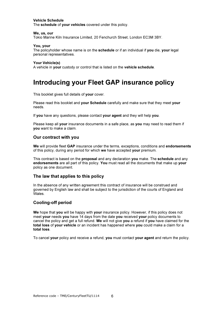#### Vehicle Schedule

The schedule of your vehicles covered under this policy.

#### We, us, our

Tokio Marine Kiln Insurance Limited, 20 Fenchurch Street, London EC3M 3BY.

#### You, your

The policyholder whose name is on the schedule or if an individual if you die, your legal personal representatives.

#### Your Vehicle(s)

A vehicle in your custody or control that is listed on the vehicle schedule.

### Introducing your Fleet GAP insurance policy

This booklet gives full details of your cover.

Please read this booklet and your Schedule carefully and make sure that they meet your needs.

If you have any questions, please contact your agent and they will help you.

Please keep all your insurance documents in a safe place, as you may need to read them if you want to make a claim.

#### Our contract with you

We will provide fleet GAP insurance under the terms, exceptions, conditions and endorsements of this policy, during any period for which we have accepted your premium.

This contract is based on the proposal and any declaration you make. The schedule and any endorsements are all part of this policy. You must read all the documents that make up your policy as one document.

#### The law that applies to this policy

In the absence of any written agreement this contract of insurance will be construed and governed by English law and shall be subject to the jurisdiction of the courts of England and Wales.

#### Cooling-off period

We hope that you will be happy with your insurance policy. However, if this policy does not meet your needs you have 14 days from the date you received your policy documents to cancel the policy and get a full refund. We will not give you a refund if you have claimed for the total loss of your vehicle or an incident has happened where you could make a claim for a total loss.

To cancel your policy and receive a refund, you must contact your agent and return the policy.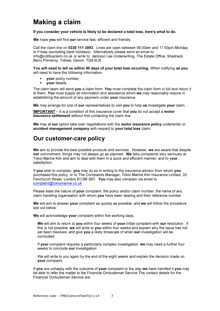### Making a claim

If you consider your vehicle is likely to be declared a total loss, here's what to do.

We hope you will find our service fast, efficient and friendly.

Call the claim line on 0330 111 3093. Lines are open between 09.00am and 17.00pm Monday to Friday (excluding bank holidays). Alternatively please send an email to info@notifyaclaim.co.uk or write to: Jackson Lee Underwriting, The Estate Office, Shadrack, Berry Pomeroy, Totnes, Devon, TQ9 6LR.

You will need to tell us within 90 days of your total loss occurring. When notifying us you will need to have the following information:

- your policy number;
- your details.

The claim team will send you a claim form. You must complete the claim form in full and return it to them. You must supply all information and assistance which we may reasonably require in establishing the amount of any payment under your insurance.

We may arrange for one of our representatives to visit you to help us investigate your claim.

IMPORTANT – It is a condition of this insurance cover that you do not accept a motor insurance settlement without first contacting the claim line.

We may at our option take over negotiations with the motor insurance policy underwriter or accident management company with respect to your total loss claim.

### Our customer-care policy

We aim to provide the best possible products and services. However, we are aware that despite our commitment, things may not always go as planned. We take complaints very seriously at Tokio Marine Kiln and aim to deal with them in a quick and efficient manner, and to your satisfaction.

If you wish to complain, you may do so in writing to the insurance advisor from whom you purchased this policy, or to The Complaints Manager, Tokio Marine Kiln Insurance Limited, 20 Fenchurch Street, London EC3M 3BY. You may also complain via email to complaint@tokiomarine.co.uk

Please state the nature of your complaint, the policy and/or claim number, the name of any claim handling organisation with whom you have been dealing and their reference number.

We will aim to answer your complaint as quickly as possible, and we will follow the procedure laid out below:

We will acknowledge your complaint within five working days,

We will aim to return to you within four weeks of your initial complaint with our resolution. If this is not possible, we will write to you within four weeks and explain why the issue has not yet been resolved, and give you a likely timescale of when our investigation will be concluded.

If your complaint requires a particularly complex investigation, we may need a further four weeks to conclude our investigation.

We will write to you again by the end of the eight weeks and explain the decision made on your complaint.

If you are unhappy with the outcome of your complaint or the way we have handled it you may be able to refer the matter to the Financial Ombudsman Service The contact details for the Financial Ombudsman Service are: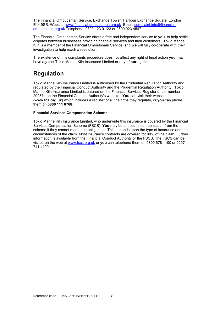The Financial Ombudsman Service, Exchange Tower, Harbour Exchange Square, London E14 9SR. Website: www.financial-ombudsman.org.uk Email: complaint.info@financialombudsman.org.uk Telephone: 0300 123 9 123 or 0800 023 4567.

The Financial Ombudsman Service offers a free and independent service to you, to help settle disputes between businesses providing financial services and their customers. Tokio Marine Kiln is a member of the Financial Ombudsman Service, and we will fully co-operate with their investigation to help reach a resolution.

The existence of this complaints procedure does not affect any right of legal action you may have against Tokio Marine Kiln Insurance Limited or any of our agents.

### Regulation

Tokio Marine Kiln Insurance Limited is authorised by the Prudential Regulation Authority and regulated by the Financial Conduct Authority and the Prudential Regulation Authority. Tokio Marine Kiln Insurance Limited is entered on the Financial Services Register under number 202574 on the Financial Conduct Authority's website. You can visit their website (www.fca.org.uk) which includes a register of all the firms they regulate, or you can phone them on 0800 111 6768.

#### Financial Services Compensation Scheme

Tokio Marine Kiln Insurance Limited, who underwrite this insurance is covered by the Financial Services Compensation Scheme (FSCS). You may be entitled to compensation from the scheme if they cannot meet their obligations. This depends upon the type of insurance and the circumstances of the claim. Most insurance contracts are covered for 90% of the claim. Further information is available from the Financial Conduct Authority or the FSCS. The FSCS can be visited on the web at www.fscs.org.uk or you can telephone them on 0800 678 1100 or 0207 741 4100.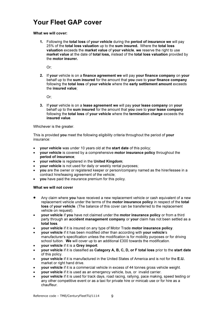### Your Fleet GAP cover

#### What we will cover:

1. Following the total loss of your vehicle during the period of insurance we will pay 25% of the total loss valuation up to the sum insured. Where the total loss valuation exceeds the market value of your vehicle, we reserve the right to use market value at the date of total loss, instead of the total loss valuation provided by the motor insurer.

Or;

2. If your vehicle is on a finance agreement we will pay your finance company on your behalf up to the sum insured for the amount that you owe to your finance company following the total loss of your vehicle where the early settlement amount exceeds the insured value;

Or;

3. If your vehicle is on a lease agreement we will pay your lease company on your behalf up to the sum insured for the amount that you owe to your lease company following the total loss of your vehicle where the termination charge exceeds the insured value.

Whichever is the greater.

This is provided you meet the following eligibility criteria throughout the period of your insurance:

- **vour vehicle** was under 10 years old at the **start date** of this policy;
- your vehicle is covered by a comprehensive motor insurance policy throughout the period of insurance;
- your vehicle is registered in the United Kingdom;
- your vehicle is not used for daily or weekly rental purposes;
- you are the owner or registered keeper or person/company named as the hirer/lessee in a contract hire/leasing agreement of the vehicle;
- you have paid the insurance premium for this policy.

#### What we will not cover

- Any claim where you have received a new replacement vehicle or cash equivalent of a new replacement vehicle under the terms of the **motor insurance policy** in respect of the **total** loss of your vehicle. (The balance of this cover can be transferred to the replacement vehicle on request).
- your vehicle if you have not claimed under the motor insurance policy or from a third party through an accident management company or your claim has not been settled as a total loss.
- your vehicle if it is insured on any type of Motor Trade motor insurance policy.
- your vehicle if it has been modified other than according with your vehicle's manufacturer's specification unless the modification is for mobility purposes or for driving school tuition. We will cover up to an additional £300 towards the modification.
- your vehicle if it is a Grey import.
- your vehicle if it is classified as Category A, B, C, D, or F total loss prior to the start date of this policy.
- your vehicle if it is manufactured in the United States of America and is not for the E.U. market or right hand drive.
- your vehicle if it is a commercial vehicle in excess of 44 tonnes gross vehicle weight.
- your vehicle if it is used as an emergency vehicle, bus, or invalid carrier.
- your vehicle if it is used for track days, road racing, rallying, pace making, speed testing or any other competitive event or as a taxi for private hire or minicab use or for hire as a chauffeur.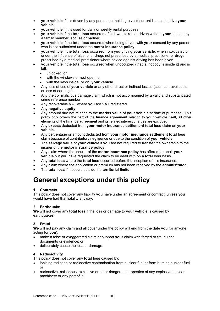- **vour vehicle** if it is driven by any person not holding a valid current licence to drive your vehicle.
- your vehicle if it is used for daily or weekly rental purposes.
- your vehicle if the total loss occurred after it was taken or driven without your consent by a family member, spouse or partner.
- your vehicle if the total loss occurred when being driven with your consent by any person who is not authorised under the **motor insurance policy**.
- your vehicle if the total loss occurred from you driving your vehicle, when intoxicated or under the influence of alcohol or drugs not prescribed by a medical practitioner or drugs prescribed by a medical practitioner where advice against driving has been given.
- your vehicle if the total loss occurred when unoccupied (that is, nobody is inside it) and is left:
	- unlocked; or
	- with the windows or roof open; or
	- with the keys inside (or on) your vehicle.
- Any loss of use of your vehicle or any other direct or indirect losses (such as travel costs or loss of earnings).
- Any theft or malicious damage claim which is not accompanied by a valid and substantiated crime reference number.
- Any recoverable VAT where you are VAT registered.
- Any negative equity.
- Any amount due not relating to the market value of your vehicle at date of purchase. (This policy only covers the part of the finance agreement relating to your vehicle itself, all other elements of the finance agreement and its related interest charges are excluded)
- Any excess deducted from your motor insurance settlement total loss claim on your vehicle.
- Any percentage or amount deducted from your motor insurance settlement total loss claim because of contributory negligence or due to the condition of your vehicle.
- The salvage value of your vehicle if you are not required to transfer the ownership to the insurer of the motor insurance policy.
- Any claim where the insurer of the motor insurance policy has offered to repair your vehicle but you have requested the claim to be dealt with on a total loss basis.
- Any total loss where the total loss occurred before the inception of this insurance.
- Any claim where the application or premium has not been received by the **administrator**.
- The total loss if it occurs outside the territorial limits.

### General exceptions under this policy

#### 1 Contracts

This policy does not cover any liability you have under an agreement or contract, unless you would have had that liability anyway.

#### 2 Earthquake

We will not cover any total loss if the loss or damage to your vehicle is caused by earthquakes.

#### 3 Fraud

We will not pay any claim and all cover under the policy will end from the date you (or anyone acting for you):

- make a false or exaggerated claim or support **your** claim with forged or fraudulent documents or evidence; or
- deliberately cause the loss or damage.

#### 4 Radioactivity

This policy does not cover any **total loss** caused by:

- ionising radiation or radioactive contamination from nuclear fuel or from burning nuclear fuel; or
- radioactive, poisonous, explosive or other dangerous properties of any explosive nuclear machinery or any part of it.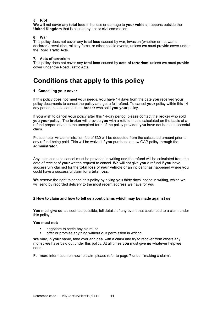#### 5 Riot

We will not cover any total loss if the loss or damage to your vehicle happens outside the United Kingdom that is caused by riot or civil commotion.

#### 6 War

This policy does not cover any **total loss** caused by war, invasion (whether or not war is declared), revolution, military force, or other hostile events, unless we must provide cover under the Road Traffic Acts.

#### 7. Acts of terrorism

This policy does not cover any **total loss** caused by **acts of terrorism** unless we must provide cover under the Road Traffic Acts.

### Conditions that apply to this policy

#### 1 Cancelling your cover

If this policy does not meet your needs, you have 14 days from the date you received your policy documents to cancel the policy and get a full refund. To cancel your policy within this 14 day period, please contact the broker who sold you your policy.

If you wish to cancel your policy after this 14-day period, please contact the broker who sold you your policy. The broker will provide you with a refund that is calculated on the basis of a refund proportionate to the unexpired term of the policy provided you have not had a successful claim.

Please note: An administration fee of £30 will be deducted from the calculated amount prior to any refund being paid. This will be waived if you purchase a new GAP policy through the administrator.

Any instructions to cancel must be provided in writing and the refund will be calculated from the date of receipt of your written request to cancel. We will not give you a refund if you have successfully claimed for the total loss of your vehicle or an incident has happened where you could have a successful claim for a **total loss**.

We reserve the right to cancel this policy by giving you thirty days' notice in writing, which we will send by recorded delivery to the most recent address we have for you.

#### 2 How to claim and how to tell us about claims which may be made against us

You must give us, as soon as possible, full details of any event that could lead to a claim under this policy.

#### You must not:

- negotiate to settle any claim; or
- offer or promise anything without our permission in writing.

We may, in your name, take over and deal with a claim and try to recover from others any money we have paid out under this policy. At all times you must give us whatever help we need.

For more information on how to claim please refer to page 7 under "making a claim".